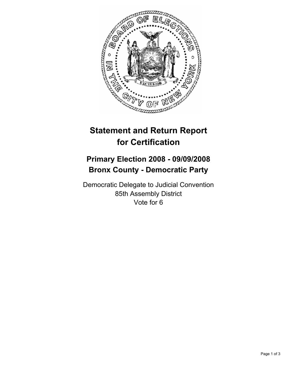

## **Statement and Return Report for Certification**

## **Primary Election 2008 - 09/09/2008 Bronx County - Democratic Party**

Democratic Delegate to Judicial Convention 85th Assembly District Vote for 6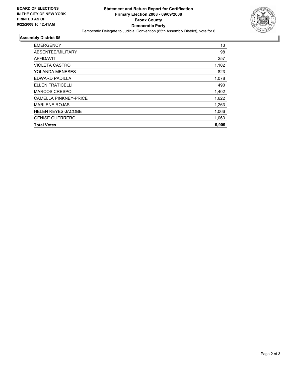

## **Assembly District 85**

| <b>Total Votes</b>           | 9,909 |
|------------------------------|-------|
| <b>GENISE GUERRERO</b>       | 1,063 |
| <b>HELEN REYES-JACOBE</b>    | 1,066 |
| <b>MARLENE ROJAS</b>         | 1,263 |
| <b>CAMELLA PINKNEY-PRICE</b> | 1,622 |
| <b>MARCOS CRESPO</b>         | 1,402 |
| <b>ELLEN FRATICELLI</b>      | 490   |
| EDWARD PADILLA               | 1,078 |
| <b>YOLANDA MENESES</b>       | 823   |
| <b>VIOLETA CASTRO</b>        | 1,102 |
| <b>AFFIDAVIT</b>             | 257   |
| ABSENTEE/MILITARY            | 98    |
| <b>EMERGENCY</b>             | 13    |